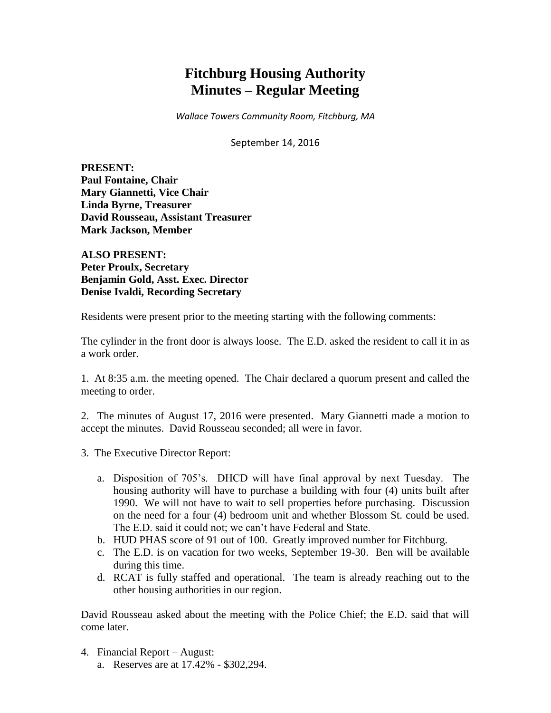# **Fitchburg Housing Authority Minutes – Regular Meeting**

*Wallace Towers Community Room, Fitchburg, MA*

September 14, 2016

**PRESENT: Paul Fontaine, Chair Mary Giannetti, Vice Chair Linda Byrne, Treasurer David Rousseau, Assistant Treasurer Mark Jackson, Member**

**ALSO PRESENT: Peter Proulx, Secretary Benjamin Gold, Asst. Exec. Director Denise Ivaldi, Recording Secretary**

Residents were present prior to the meeting starting with the following comments:

The cylinder in the front door is always loose. The E.D. asked the resident to call it in as a work order.

1. At 8:35 a.m. the meeting opened. The Chair declared a quorum present and called the meeting to order.

2. The minutes of August 17, 2016 were presented. Mary Giannetti made a motion to accept the minutes. David Rousseau seconded; all were in favor.

- 3. The Executive Director Report:
	- a. Disposition of 705's. DHCD will have final approval by next Tuesday. The housing authority will have to purchase a building with four (4) units built after 1990. We will not have to wait to sell properties before purchasing. Discussion on the need for a four (4) bedroom unit and whether Blossom St. could be used. The E.D. said it could not; we can't have Federal and State.
	- b. HUD PHAS score of 91 out of 100. Greatly improved number for Fitchburg.
	- c. The E.D. is on vacation for two weeks, September 19-30. Ben will be available during this time.
	- d. RCAT is fully staffed and operational. The team is already reaching out to the other housing authorities in our region.

David Rousseau asked about the meeting with the Police Chief; the E.D. said that will come later.

4. Financial Report – August: a. Reserves are at 17.42% - \$302,294.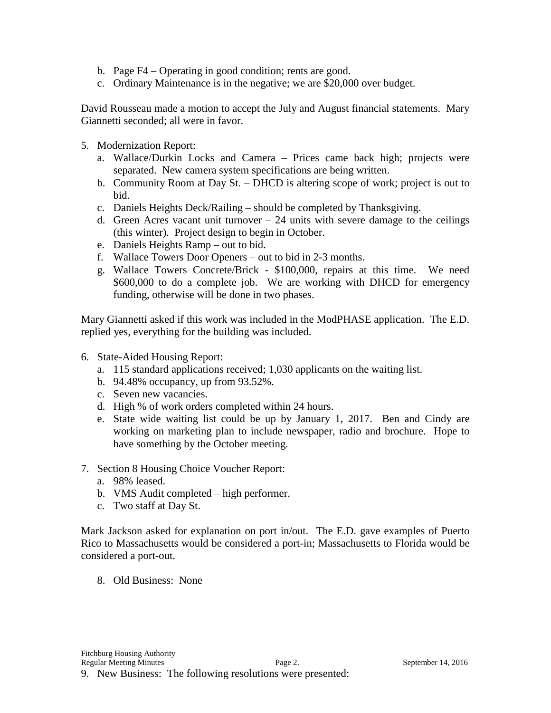- b. Page F4 Operating in good condition; rents are good.
- c. Ordinary Maintenance is in the negative; we are \$20,000 over budget.

David Rousseau made a motion to accept the July and August financial statements. Mary Giannetti seconded; all were in favor.

- 5. Modernization Report:
	- a. Wallace/Durkin Locks and Camera Prices came back high; projects were separated. New camera system specifications are being written.
	- b. Community Room at Day St. DHCD is altering scope of work; project is out to bid.
	- c. Daniels Heights Deck/Railing should be completed by Thanksgiving.
	- d. Green Acres vacant unit turnover  $-24$  units with severe damage to the ceilings (this winter). Project design to begin in October.
	- e. Daniels Heights Ramp out to bid.
	- f. Wallace Towers Door Openers out to bid in 2-3 months.
	- g. Wallace Towers Concrete/Brick \$100,000, repairs at this time. We need \$600,000 to do a complete job. We are working with DHCD for emergency funding, otherwise will be done in two phases.

Mary Giannetti asked if this work was included in the ModPHASE application. The E.D. replied yes, everything for the building was included.

- 6. State-Aided Housing Report:
	- a. 115 standard applications received; 1,030 applicants on the waiting list.
	- b. 94.48% occupancy, up from 93.52%.
	- c. Seven new vacancies.
	- d. High % of work orders completed within 24 hours.
	- e. State wide waiting list could be up by January 1, 2017. Ben and Cindy are working on marketing plan to include newspaper, radio and brochure. Hope to have something by the October meeting.
- 7. Section 8 Housing Choice Voucher Report:
	- a. 98% leased.
	- b. VMS Audit completed high performer.
	- c. Two staff at Day St.

Mark Jackson asked for explanation on port in/out. The E.D. gave examples of Puerto Rico to Massachusetts would be considered a port-in; Massachusetts to Florida would be considered a port-out.

8. Old Business: None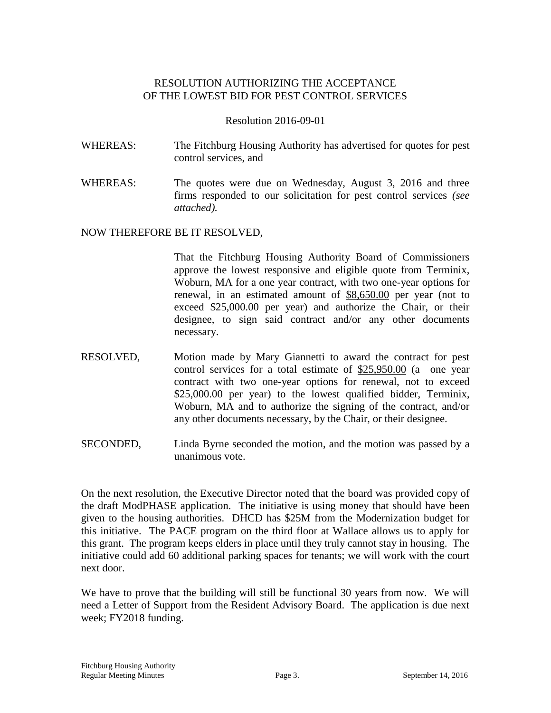## RESOLUTION AUTHORIZING THE ACCEPTANCE OF THE LOWEST BID FOR PEST CONTROL SERVICES

#### Resolution 2016-09-01

- WHEREAS: The Fitchburg Housing Authority has advertised for quotes for pest control services, and
- WHEREAS: The quotes were due on Wednesday, August 3, 2016 and three firms responded to our solicitation for pest control services *(see attached).*

## NOW THEREFORE BE IT RESOLVED,

That the Fitchburg Housing Authority Board of Commissioners approve the lowest responsive and eligible quote from Terminix, Woburn, MA for a one year contract, with two one-year options for renewal, in an estimated amount of \$8,650.00 per year (not to exceed \$25,000.00 per year) and authorize the Chair, or their designee, to sign said contract and/or any other documents necessary.

- RESOLVED, Motion made by Mary Giannetti to award the contract for pest control services for a total estimate of \$25,950.00 (a one year contract with two one-year options for renewal, not to exceed \$25,000.00 per year) to the lowest qualified bidder, Terminix, Woburn, MA and to authorize the signing of the contract, and/or any other documents necessary, by the Chair, or their designee.
- SECONDED, Linda Byrne seconded the motion, and the motion was passed by a unanimous vote.

On the next resolution, the Executive Director noted that the board was provided copy of the draft ModPHASE application. The initiative is using money that should have been given to the housing authorities. DHCD has \$25M from the Modernization budget for this initiative. The PACE program on the third floor at Wallace allows us to apply for this grant. The program keeps elders in place until they truly cannot stay in housing. The initiative could add 60 additional parking spaces for tenants; we will work with the court next door.

We have to prove that the building will still be functional 30 years from now. We will need a Letter of Support from the Resident Advisory Board. The application is due next week; FY2018 funding.